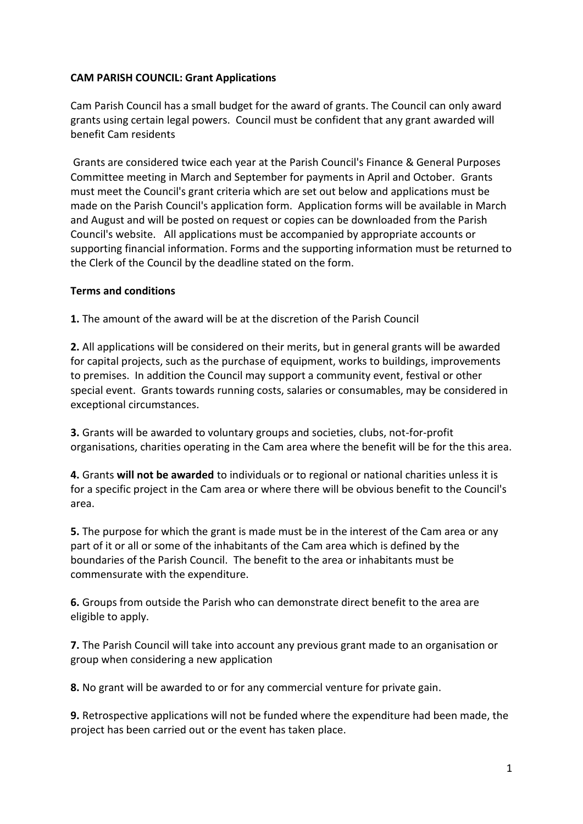## **CAM PARISH COUNCIL: Grant Applications**

Cam Parish Council has a small budget for the award of grants. The Council can only award grants using certain legal powers. Council must be confident that any grant awarded will benefit Cam residents

Grants are considered twice each year at the Parish Council's Finance & General Purposes Committee meeting in March and September for payments in April and October. Grants must meet the Council's grant criteria which are set out below and applications must be made on the Parish Council's application form. Application forms will be available in March and August and will be posted on request or copies can be downloaded from the Parish Council's website. All applications must be accompanied by appropriate accounts or supporting financial information. Forms and the supporting information must be returned to the Clerk of the Council by the deadline stated on the form.

## **Terms and conditions**

**1.** The amount of the award will be at the discretion of the Parish Council

**2.** All applications will be considered on their merits, but in general grants will be awarded for capital projects, such as the purchase of equipment, works to buildings, improvements to premises. In addition the Council may support a community event, festival or other special event. Grants towards running costs, salaries or consumables, may be considered in exceptional circumstances.

**3.** Grants will be awarded to voluntary groups and societies, clubs, not-for-profit organisations, charities operating in the Cam area where the benefit will be for the this area.

**4.** Grants **will not be awarded** to individuals or to regional or national charities unless it is for a specific project in the Cam area or where there will be obvious benefit to the Council's area.

**5.** The purpose for which the grant is made must be in the interest of the Cam area or any part of it or all or some of the inhabitants of the Cam area which is defined by the boundaries of the Parish Council. The benefit to the area or inhabitants must be commensurate with the expenditure.

**6.** Groups from outside the Parish who can demonstrate direct benefit to the area are eligible to apply.

**7.** The Parish Council will take into account any previous grant made to an organisation or group when considering a new application

**8.** No grant will be awarded to or for any commercial venture for private gain.

**9.** Retrospective applications will not be funded where the expenditure had been made, the project has been carried out or the event has taken place.